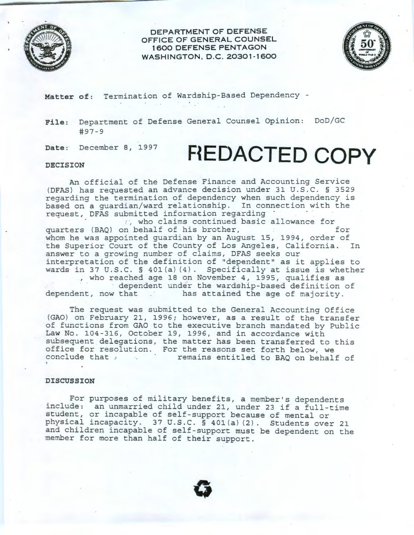

**DEPARTMENT OF DEFENSE OFFICE OF GENERAL COUNSEL 1 600 DEFENS E PENTAGON WASHINGTON, D.C. 20301-1600** 



**Matter of:** Termination of Wardship-Based Dependency -

**File:** Department of Defense General Counsel Opinion: DoD/GC #97-9

**Date:** December 8, 1997

## **FlEDACTED COPY**

## **DECISION**

An official of the Defense Finance and Accounting Service (DFAS) has requested an advance decision under 31 U.S.C. § 3529 regarding the termination of dependency when such dependency is based on a guardian/ward relationship. In connection with the request, DFAS submitted information regarding<br>  $\therefore$ , who claims continued basic allowance for

quarters (BAQ) on behalf of his brother, the state of the state of  $f$ whom he was appointed guardian by an August 15, 1994, order of the Superior Court of the County of Los Angeles, California. In answer to a growing number of claims, DFAS seeks our interpretation of the definition of "dependent'' as it applies to wards in 37 U.S.C. § 401 (a) (4). Specifically at issue is whether %, who reached age 18 on November 4, 1995, qualifies as<br>dependent under the wardship-based definition of<br>dependent, now that has attained the age of majority.

has attained the age of majority.

The request was submitted to the General Accounting Office (GAO) on February 21, 1996; however, as a result of the transfer of functions from GAO to the executive branch mandated by Public Law No. 104-316, October 19, 1996, and in accordance with subsequent delegations, the matter has been transferred to this office for resolution. For the reasons set forth below, we conclude that **:** *remains entitled to BAQ on behalf of* 

## **DISCUSSION**

For purposes of military benefits, a member's dependents include: an unmarried child under 21, under 23 if a full-time student, or incapable of self-support because of mental or physical incapacity. 37 U.S.C. § 40l(a) (2). Students over 21 and children incapable of self-support must be dependent on the member for more than half of their support.

**0**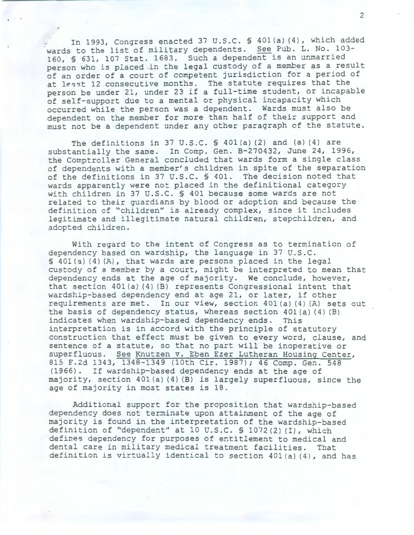In 1993, Congress enacted 37 U.S.C. § 401(a) (4), which added wards to the list of military dependents. See Pub. L. No. 103- 160, § 631, 107 Stat. 1683. Such a dependent is an unmarried person who is placed .in the legal custody of a member as a result of an order of a court of competent jurisdiction for a period of at least 12 consecutive months. The statute requires that the person be under 21, under 23 if a full-time student, or incapable of self-support due to a mental or physical incapacity which occurred while the person was a dependent. Wards must also be dependent on the member for more than half of their support and must not be a dependent under any other paragraph of the statute.

The definitions in 37 U.S.C.  $\$$  401(a)(2) and (a)(4) are substantially the same. In Comp. Gen. B-270432, June 24, 1996, the Comptroller General concluded that wards form a single class of dependents with a member's children in spite of the separation of the definitions in 37 U.S.C. § 401. The decision noted that wards apparently were not placed in the definitional category with children in 37 U.S.C. § 401 because some wards are not related to their guardians by blood or adoption and because the definition of "children" is already complex, since it includes legitimate and illegitimate natural children, stepchildren, and adopted children.

With regard to the intent of Congress as to termination of dependency based on wardship, the language in 37 U.S.C. § 401(a) (4) (A), that wards are persons placed in the legal custody of a member by a court, might be interpreted to mean that dependency ends at the age of majority. We conclude, however, that section 401 (a) (4) (B) represents Congressional intent that wardship-based dependency end at age 21, or later, if other requirements are met. In our view, section  $401(a)$  (4) (A) sets out the basis of dependency status, whereas section  $401(a) (4) (B)$ indicates when wardship-based dependency ends. This interpretation is in accord with the principle of statutory construction that effect must be given to every word, clause, and sentence of a statute, so that no part will be inoperative or superfluous. See Knutzen v. Eben Ezer Lutheran Housing Center, 815 F.2d 1343, 1348-1349 (lOth Cir. 1987); 46 Comp. Gen. 548 (1966). If wardship-based dependency ends at the age of majority, section 401 (a) (4) (B) is largely superfluous, since the age of majority in most states is 18.

Additionql support for the proposition that wardship-based dependency does not terminate upon attainment of the age of majority is found in the interpretation of the wardship-based definition of "dependent" at 10 U.S.C.  $\frac{1072(2)}{1}$ , which defines dependency for purposes of entitlement to medical and dental care in military medical treatment facilities. That definition is virtually identical to section 401(a) (4), and has

2